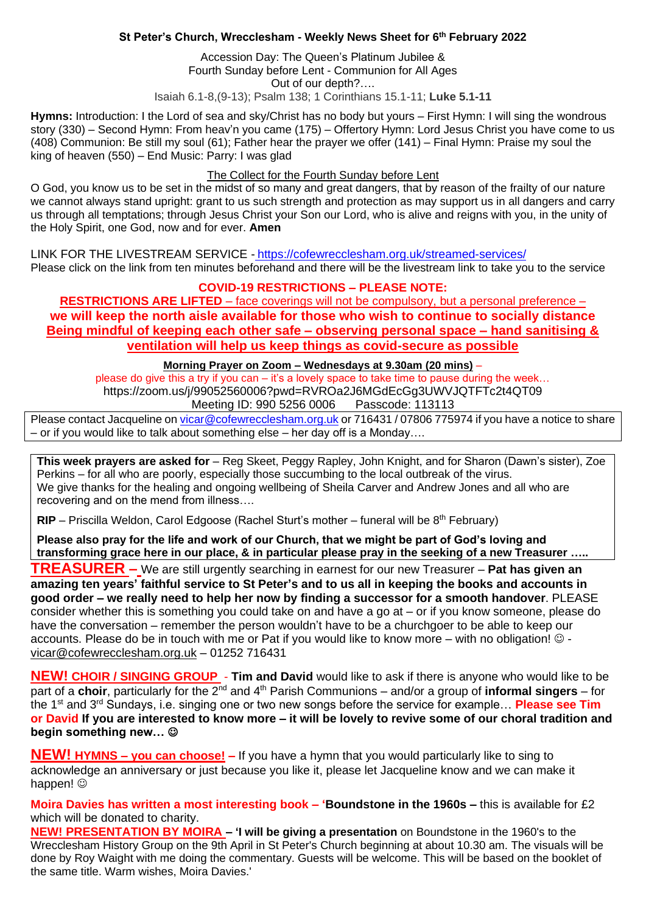# **St Peter's Church, Wrecclesham - Weekly News Sheet for 6 th February 2022**

Accession Day: The Queen's Platinum Jubilee & Fourth Sunday before Lent - Communion for All Ages Out of our depth?…. Isaiah 6.1-8,(9-13); Psalm 138; 1 Corinthians 15.1-11; **Luke 5.1-11**

**Hymns:** Introduction: I the Lord of sea and sky/Christ has no body but yours – First Hymn: I will sing the wondrous story (330) – Second Hymn: From heav'n you came (175) – Offertory Hymn: Lord Jesus Christ you have come to us (408) Communion: Be still my soul (61); Father hear the prayer we offer (141) – Final Hymn: Praise my soul the king of heaven (550) – End Music: Parry: I was glad

### The Collect for the Fourth Sunday before Lent

O God, you know us to be set in the midst of so many and great dangers, that by reason of the frailty of our nature we cannot always stand upright: grant to us such strength and protection as may support us in all dangers and carry us through all temptations; through Jesus Christ your Son our Lord, who is alive and reigns with you, in the unity of the Holy Spirit, one God, now and for ever. **Amen**

LINK FOR THE LIVESTREAM SERVICE - <https://cofewrecclesham.org.uk/streamed-services/> Please click on the link from ten minutes beforehand and there will be the livestream link to take you to the service

# **COVID-19 RESTRICTIONS – PLEASE NOTE:**

**RESTRICTIONS ARE LIFTED** – face coverings will not be compulsory, but a personal preference – **we will keep the north aisle available for those who wish to continue to socially distance Being mindful of keeping each other safe – observing personal space – hand sanitising & ventilation will help us keep things as covid-secure as possible** 

### **Morning Prayer on Zoom – Wednesdays at 9.30am (20 mins)** –

please do give this a try if you can – it's a lovely space to take time to pause during the week… https://zoom.us/j/99052560006?pwd=RVROa2J6MGdEcGg3UWVJQTFTc2t4QT09 Meeting ID: 990 5256 0006 Passcode: 113113

Please contact Jacqueline on [vicar@cofewrecclesham.org.uk](mailto:vicar@cofewrecclesham.org.uk) or 716431 / 07806 775974 if you have a notice to share – or if you would like to talk about something else – her day off is a Monday….

**This week prayers are asked for** – Reg Skeet, Peggy Rapley, John Knight, and for Sharon (Dawn's sister), Zoe Perkins – for all who are poorly, especially those succumbing to the local outbreak of the virus. We give thanks for the healing and ongoing wellbeing of Sheila Carver and Andrew Jones and all who are recovering and on the mend from illness….

**RIP** – Priscilla Weldon, Carol Edgoose (Rachel Sturt's mother – funeral will be 8<sup>th</sup> February)

**Please also pray for the life and work of our Church, that we might be part of God's loving and transforming grace here in our place, & in particular please pray in the seeking of a new Treasurer …..**

**TREASURER –** We are still urgently searching in earnest for our new Treasurer – **Pat has given an amazing ten years' faithful service to St Peter's and to us all in keeping the books and accounts in good order – we really need to help her now by finding a successor for a smooth handover**. PLEASE consider whether this is something you could take on and have a go at – or if you know someone, please do have the conversation – remember the person wouldn't have to be a churchgoer to be able to keep our accounts. Please do be in touch with me or Pat if you would like to know more – with no obligation!  $\circ$  [vicar@cofewrecclesham.org.uk](mailto:vicar@cofewrecclesham.org.uk) – 01252 716431

**NEW! CHOIR / SINGING GROUP** - **Tim and David** would like to ask if there is anyone who would like to be part of a **choir**, particularly for the 2<sup>nd</sup> and 4<sup>th</sup> Parish Communions – and/or a group of **informal singers** – for the 1st and 3rd Sundays, i.e. singing one or two new songs before the service for example… **Please see Tim or David If you are interested to know more – it will be lovely to revive some of our choral tradition and begin something new…** ☺

**NEW! HYMNS – you can choose! –** If you have a hymn that you would particularly like to sing to acknowledge an anniversary or just because you like it, please let Jacqueline know and we can make it happen! ©

**Moira Davies has written a most interesting book – 'Boundstone in the 1960s –** this is available for £2 which will be donated to charity.

**NEW! PRESENTATION BY MOIRA – 'I will be giving a presentation** on Boundstone in the 1960's to the Wrecclesham History Group on the 9th April in St Peter's Church beginning at about 10.30 am. The visuals will be done by Roy Waight with me doing the commentary. Guests will be welcome. This will be based on the booklet of the same title. Warm wishes, Moira Davies.'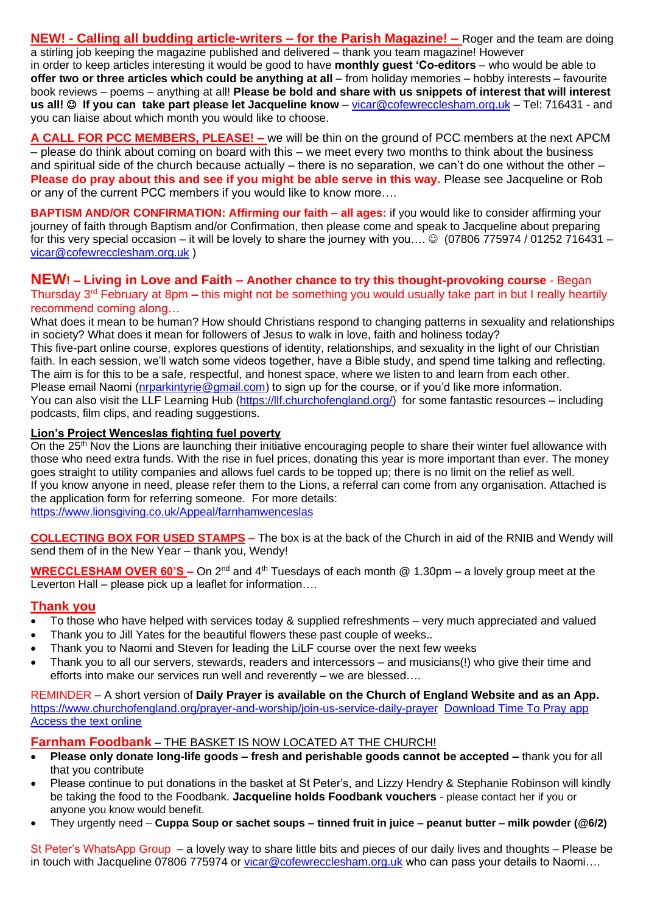**NEW! - Calling all budding article-writers – for the Parish Magazine! –** Roger and the team are doing a stirling job keeping the magazine published and delivered – thank you team magazine! However in order to keep articles interesting it would be good to have **monthly guest 'Co-editors** – who would be able to **offer two or three articles which could be anything at all** – from holiday memories – hobby interests – favourite book reviews – poems – anything at all! **Please be bold and share with us snippets of interest that will interest us all!** ☺ **If you can take part please let Jacqueline know** – [vicar@cofewrecclesham.org.uk](mailto:vicar@cofewrecclesham.org.uk) – Tel: 716431 - and you can liaise about which month you would like to choose.

**A CALL FOR PCC MEMBERS, PLEASE! –** we will be thin on the ground of PCC members at the next APCM – please do think about coming on board with this – we meet every two months to think about the business and spiritual side of the church because actually – there is no separation, we can't do one without the other – **Please do pray about this and see if you might be able serve in this way.** Please see Jacqueline or Rob or any of the current PCC members if you would like to know more….

**BAPTISM AND/OR CONFIRMATION: Affirming our faith – all ages:** if you would like to consider affirming your journey of faith through Baptism and/or Confirmation, then please come and speak to Jacqueline about preparing for this very special occasion – it will be lovely to share the journey with you....  $\odot$  (07806 775974 / 01252 716431 – [vicar@cofewrecclesham.org.uk](mailto:vicar@cofewrecclesham.org.uk) )

### **NEW! – Living in Love and Faith – Another chance to try this thought-provoking course** - Began Thursday 3rd February at 8pm **–** this might not be something you would usually take part in but I really heartily recommend coming along…

What does it mean to be human? How should Christians respond to changing patterns in sexuality and relationships in society? What does it mean for followers of Jesus to walk in love, faith and holiness today? This five-part online course, explores questions of identity, relationships, and sexuality in the light of our Christian faith. In each session, we'll watch some videos together, have a Bible study, and spend time talking and reflecting. The aim is for this to be a safe, respectful, and honest space, where we listen to and learn from each other. Please email Naomi [\(nrparkintyrie@gmail.com\)](mailto:nrparkintyrie@gmail.com) to sign up for the course, or if you'd like more information. You can also visit the LLF Learning Hub [\(https://llf.churchofengland.org/\)](https://llf.churchofengland.org/) for some fantastic resources – including podcasts, film clips, and reading suggestions.

# **Lion's Project Wenceslas fighting fuel poverty**

On the 25<sup>th</sup> Nov the Lions are launching their initiative encouraging people to share their winter fuel allowance with those who need extra funds. With the rise in fuel prices, donating this year is more important than ever. The money goes straight to utility companies and allows fuel cards to be topped up; there is no limit on the relief as well. If you know anyone in need, please refer them to the Lions, a referral can come from any organisation. Attached is the application form for referring someone. For more details: [https://www.lionsgiving.co.uk/Appeal/farnhamwenceslas](https://emea01.safelinks.protection.outlook.com/?url=https%3A%2F%2Fwww.lionsgiving.co.uk%2FAppeal%2Ffarnhamwenceslas&data=04%7C01%7C%7C670ac8773ce941dc31c808d9ae5c7915%7C84df9e7fe9f640afb435aaaaaaaaaaaa%7C1%7C0%7C637732534462155920%7CUnknown%7CTWFpbGZsb3d8eyJWIjoiMC4wLjAwMDAiLCJQIjoiV2luMzIiLCJBTiI6Ik1haWwiLCJXVCI6Mn0%3D%7C3000&sdata=jYT55VrvJZ%2FRUdhMQwgg2DCNmThy7EdE8MyPg1JZd9o%3D&reserved=0)

**COLLECTING BOX FOR USED STAMPS –** The box is at the back of the Church in aid of the RNIB and Wendy will send them of in the New Year – thank you, Wendy!

**WRECCLESHAM OVER 60'S –** On 2nd and 4th Tuesdays of each month @ 1.30pm – a lovely group meet at the Leverton Hall – please pick up a leaflet for information….

# **Thank you**

- To those who have helped with services today & supplied refreshments very much appreciated and valued
- Thank you to Jill Yates for the beautiful flowers these past couple of weeks..
- Thank you to Naomi and Steven for leading the LiLF course over the next few weeks
- Thank you to all our servers, stewards, readers and intercessors and musicians(!) who give their time and efforts into make our services run well and reverently – we are blessed….

REMINDER – A short version of **Daily Prayer is available on the Church of England Website and as an App.** <https://www.churchofengland.org/prayer-and-worship/join-us-service-daily-prayer> [Download Time To Pray app](https://www.chpublishing.co.uk/apps/time-to-pray)  [Access the text online](https://www.churchofengland.org/prayer-and-worship/join-us-in-daily-prayer/prayer-during-day-contemporary-Saturday-30-January-2021)

**Farnham Foodbank** – THE BASKET IS NOW LOCATED AT THE CHURCH!

- **Please only donate long-life goods – fresh and perishable goods cannot be accepted –** thank you for all that you contribute
- Please continue to put donations in the basket at St Peter's, and Lizzy Hendry & Stephanie Robinson will kindly be taking the food to the Foodbank. **Jacqueline holds Foodbank vouchers** - please contact her if you or anyone you know would benefit.
- They urgently need **Cuppa Soup or sachet soups – tinned fruit in juice – peanut butter – milk powder (@6/2)**

St Peter's WhatsApp Group – a lovely way to share little bits and pieces of our daily lives and thoughts – Please be in touch with Jacqueline 07806 775974 or [vicar@cofewrecclesham.org.uk](mailto:vicar@cofewrecclesham.org.uk) who can pass your details to Naomi....